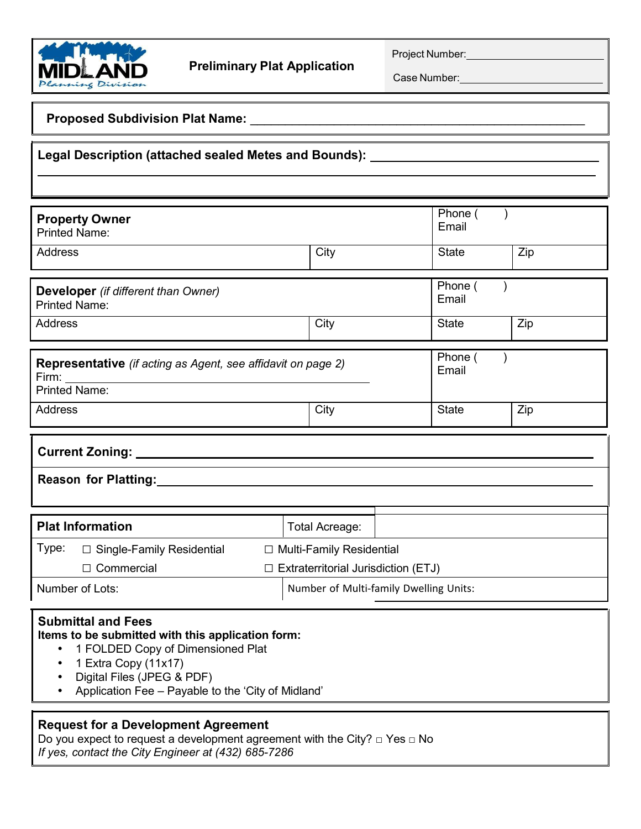

Project Number:

Case Number:

## **Proposed Subdivision Plat Name: Discription Proposed Subdivision Plat Name:**

# **Legal Description (attached sealed Metes and Bounds):**

|                                                                                                                |                                            |                       |      | Phone (      |                  |  |  |  |
|----------------------------------------------------------------------------------------------------------------|--------------------------------------------|-----------------------|------|--------------|------------------|--|--|--|
| <b>Property Owner</b>                                                                                          |                                            |                       |      |              |                  |  |  |  |
| <b>Printed Name:</b>                                                                                           |                                            |                       |      |              |                  |  |  |  |
|                                                                                                                |                                            |                       |      |              |                  |  |  |  |
| <b>Address</b>                                                                                                 |                                            | City                  |      | <b>State</b> | Zip              |  |  |  |
|                                                                                                                |                                            |                       |      |              |                  |  |  |  |
|                                                                                                                |                                            |                       |      |              |                  |  |  |  |
| <b>Developer</b> (if different than Owner)                                                                     |                                            |                       |      |              | Phone (<br>Email |  |  |  |
| <b>Printed Name:</b>                                                                                           |                                            |                       |      |              |                  |  |  |  |
| <b>Address</b>                                                                                                 |                                            | City                  |      | <b>State</b> | Zip              |  |  |  |
|                                                                                                                |                                            |                       |      |              |                  |  |  |  |
|                                                                                                                |                                            |                       |      | Phone (      |                  |  |  |  |
| Representative (if acting as Agent, see affidavit on page 2)                                                   |                                            |                       |      |              |                  |  |  |  |
|                                                                                                                |                                            |                       |      |              |                  |  |  |  |
| <b>Printed Name:</b>                                                                                           |                                            |                       |      |              |                  |  |  |  |
| <b>Address</b>                                                                                                 |                                            |                       |      | <b>State</b> | Zip              |  |  |  |
|                                                                                                                |                                            |                       | City |              |                  |  |  |  |
|                                                                                                                |                                            |                       |      |              |                  |  |  |  |
|                                                                                                                |                                            |                       |      |              |                  |  |  |  |
| Current Zoning: National Current School and Current School and Current Current Current Current Current Current |                                            |                       |      |              |                  |  |  |  |
|                                                                                                                |                                            |                       |      |              |                  |  |  |  |
| Reason for Platting:<br>Management Contract Platting:                                                          |                                            |                       |      |              |                  |  |  |  |
|                                                                                                                |                                            |                       |      |              |                  |  |  |  |
|                                                                                                                |                                            |                       |      |              |                  |  |  |  |
| <b>Plat Information</b>                                                                                        |                                            | <b>Total Acreage:</b> |      |              |                  |  |  |  |
| Type:<br>$\Box$ Single-Family Residential<br>□ Multi-Family Residential                                        |                                            |                       |      |              |                  |  |  |  |
| $\Box$ Commercial                                                                                              | $\Box$ Extraterritorial Jurisdiction (ETJ) |                       |      |              |                  |  |  |  |

# Number of Lots: Number of Multi-family Dwelling Units:

## **Submittal and Fees**

#### **Items to be submitted with this application form:**

- 1 FOLDED Copy of Dimensioned Plat
- 1 Extra Copy (11x17)
- Digital Files (JPEG & PDF)
- Application Fee Payable to the 'City of Midland'

## **Request for a Development Agreement**

Do you expect to request a development agreement with the City? **□** Yes **□** No *If yes, contact the City Engineer at (432) 685-7286*